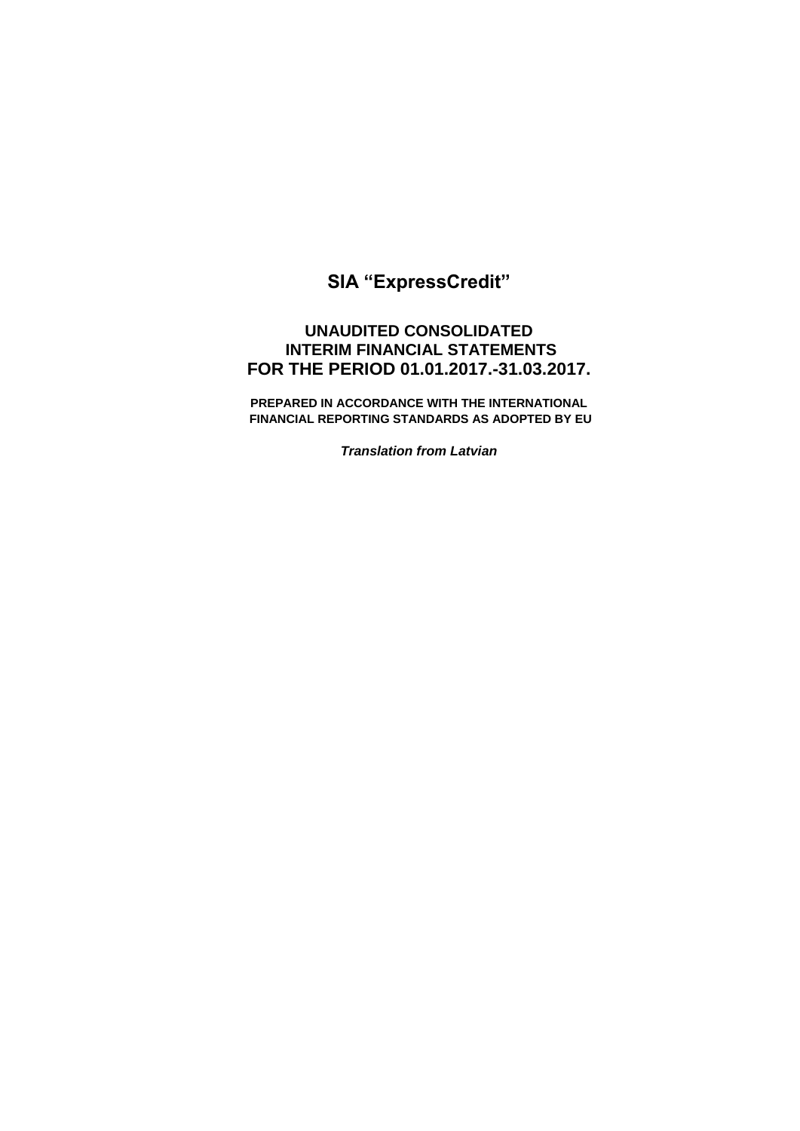# **SIA "ExpressCredit"**

## **UNAUDITED CONSOLIDATED INTERIM FINANCIAL STATEMENTS FOR THE PERIOD 01.01.2017.-31.03.2017.**

**PREPARED IN ACCORDANCE WITH THE INTERNATIONAL FINANCIAL REPORTING STANDARDS AS ADOPTED BY EU** 

*Translation from Latvian*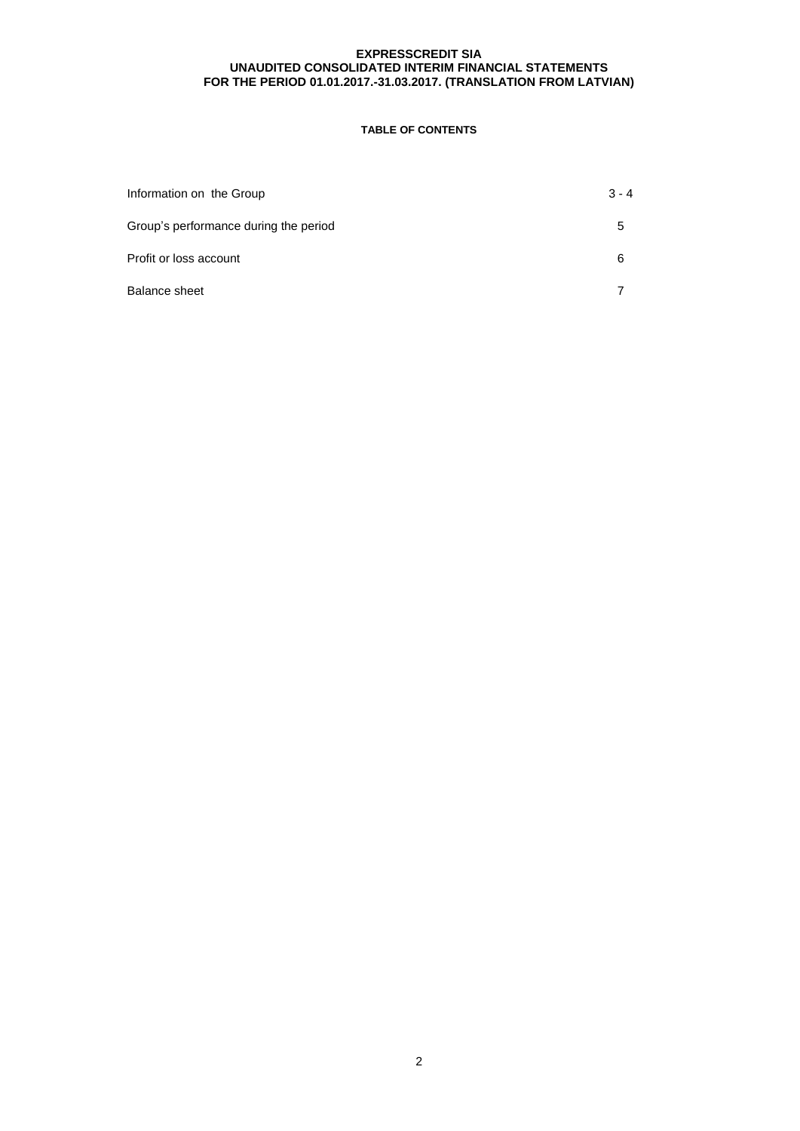## **TABLE OF CONTENTS**

| Information on the Group              | $3 - 4$ |
|---------------------------------------|---------|
| Group's performance during the period | ۰.      |
| Profit or loss account                | 6       |
| <b>Balance sheet</b>                  |         |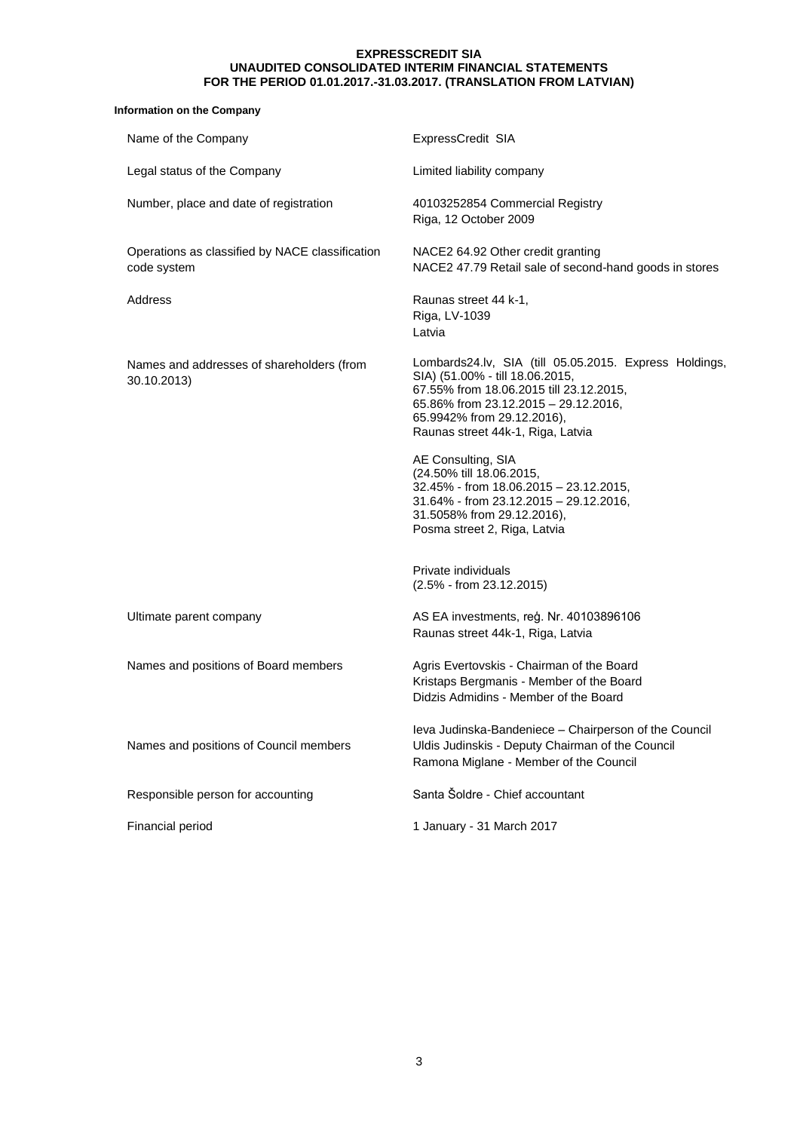## **Information on the Company**

| Name of the Company                                            | ExpressCredit SIA                                                                                                                                                                                                                               |
|----------------------------------------------------------------|-------------------------------------------------------------------------------------------------------------------------------------------------------------------------------------------------------------------------------------------------|
| Legal status of the Company                                    | Limited liability company                                                                                                                                                                                                                       |
| Number, place and date of registration                         | 40103252854 Commercial Registry<br>Riga, 12 October 2009                                                                                                                                                                                        |
| Operations as classified by NACE classification<br>code system | NACE2 64.92 Other credit granting<br>NACE2 47.79 Retail sale of second-hand goods in stores                                                                                                                                                     |
| Address                                                        | Raunas street 44 k-1,<br>Riga, LV-1039<br>Latvia                                                                                                                                                                                                |
| Names and addresses of shareholders (from<br>30.10.2013)       | Lombards24.lv, SIA (till 05.05.2015. Express Holdings,<br>SIA) (51.00% - till 18.06.2015,<br>67.55% from 18.06.2015 till 23.12.2015,<br>65.86% from 23.12.2015 - 29.12.2016,<br>65.9942% from 29.12.2016),<br>Raunas street 44k-1, Riga, Latvia |
|                                                                | AE Consulting, SIA<br>(24.50% till 18.06.2015,<br>32.45% - from 18.06.2015 - 23.12.2015,<br>31.64% - from 23.12.2015 - 29.12.2016,<br>31.5058% from 29.12.2016),<br>Posma street 2, Riga, Latvia                                                |
|                                                                | Private individuals<br>$(2.5\% - from 23.12.2015)$                                                                                                                                                                                              |
| Ultimate parent company                                        | AS EA investments, reg. Nr. 40103896106<br>Raunas street 44k-1, Riga, Latvia                                                                                                                                                                    |
| Names and positions of Board members                           | Agris Evertovskis - Chairman of the Board<br>Kristaps Bergmanis - Member of the Board<br>Didzis Admidins - Member of the Board                                                                                                                  |
| Names and positions of Council members                         | Ieva Judinska-Bandeniece - Chairperson of the Council<br>Uldis Judinskis - Deputy Chairman of the Council<br>Ramona Miglane - Member of the Council                                                                                             |
| Responsible person for accounting                              | Santa Šoldre - Chief accountant                                                                                                                                                                                                                 |
| Financial period                                               | 1 January - 31 March 2017                                                                                                                                                                                                                       |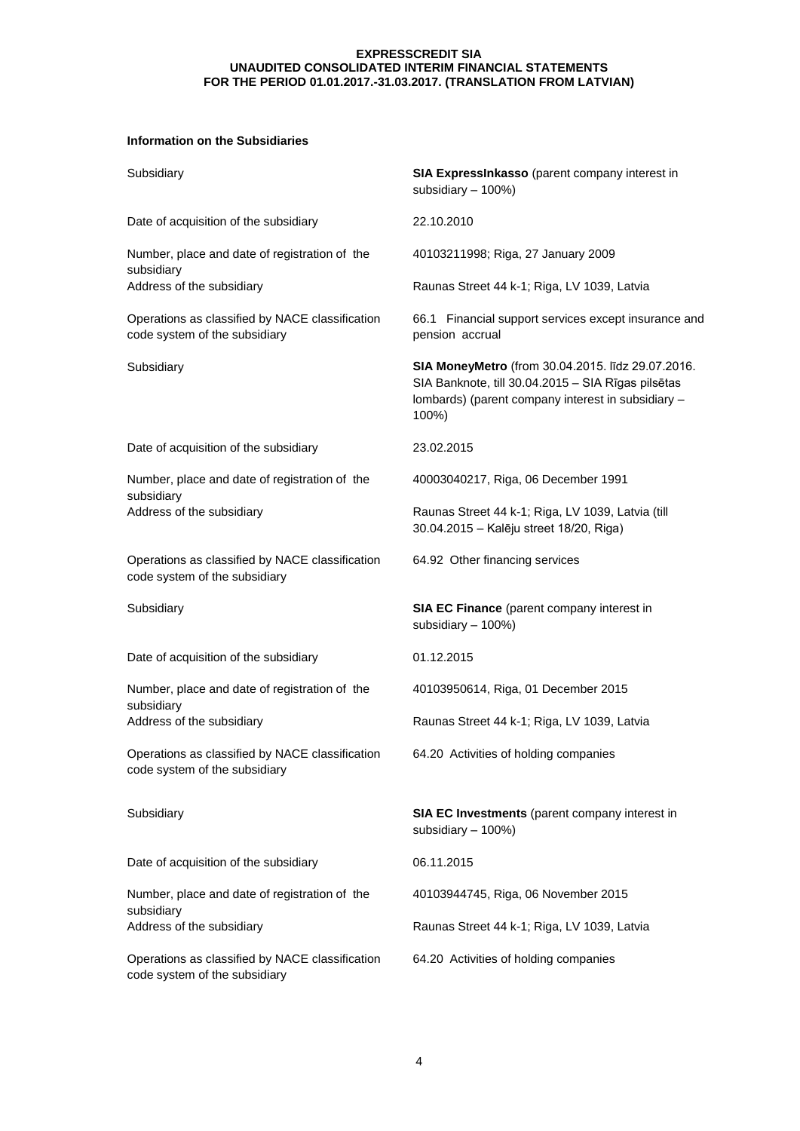## **Information on the Subsidiaries**

| Subsidiary                                                                       | SIA ExpressInkasso (parent company interest in<br>subsidiary - 100%)                                                                                                   |
|----------------------------------------------------------------------------------|------------------------------------------------------------------------------------------------------------------------------------------------------------------------|
| Date of acquisition of the subsidiary                                            | 22.10.2010                                                                                                                                                             |
| Number, place and date of registration of the                                    | 40103211998; Riga, 27 January 2009                                                                                                                                     |
| subsidiary<br>Address of the subsidiary                                          | Raunas Street 44 k-1; Riga, LV 1039, Latvia                                                                                                                            |
| Operations as classified by NACE classification<br>code system of the subsidiary | 66.1 Financial support services except insurance and<br>pension accrual                                                                                                |
| Subsidiary                                                                       | SIA MoneyMetro (from 30.04.2015. līdz 29.07.2016.<br>SIA Banknote, till 30.04.2015 - SIA Rīgas pilsētas<br>lombards) (parent company interest in subsidiary -<br>100%) |
| Date of acquisition of the subsidiary                                            | 23.02.2015                                                                                                                                                             |
| Number, place and date of registration of the<br>subsidiary                      | 40003040217, Riga, 06 December 1991                                                                                                                                    |
| Address of the subsidiary                                                        | Raunas Street 44 k-1; Riga, LV 1039, Latvia (till<br>30.04.2015 - Kalēju street 18/20, Riga)                                                                           |
| Operations as classified by NACE classification<br>code system of the subsidiary | 64.92 Other financing services                                                                                                                                         |
| Subsidiary                                                                       | SIA EC Finance (parent company interest in<br>subsidiary - 100%)                                                                                                       |
| Date of acquisition of the subsidiary                                            | 01.12.2015                                                                                                                                                             |
| Number, place and date of registration of the                                    | 40103950614, Riga, 01 December 2015                                                                                                                                    |
| subsidiary<br>Address of the subsidiary                                          | Raunas Street 44 k-1; Riga, LV 1039, Latvia                                                                                                                            |
| Operations as classified by NACE classification<br>code system of the subsidiary | 64.20 Activities of holding companies                                                                                                                                  |
| Subsidiary                                                                       | SIA EC Investments (parent company interest in<br>subsidiary - 100%)                                                                                                   |
| Date of acquisition of the subsidiary                                            | 06.11.2015                                                                                                                                                             |
| Number, place and date of registration of the<br>subsidiary                      | 40103944745, Riga, 06 November 2015                                                                                                                                    |
| Address of the subsidiary                                                        | Raunas Street 44 k-1; Riga, LV 1039, Latvia                                                                                                                            |
| Operations as classified by NACE classification<br>code system of the subsidiary | 64.20 Activities of holding companies                                                                                                                                  |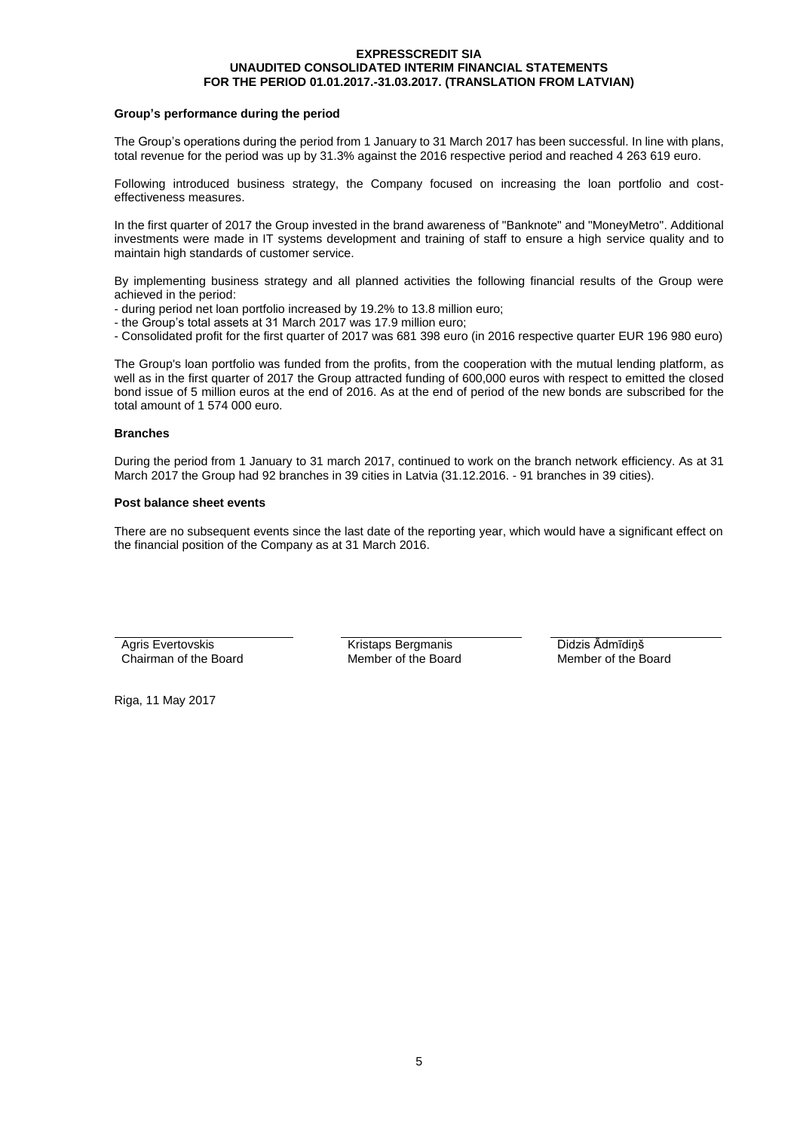#### **Group's performance during the period**

The Group's operations during the period from 1 January to 31 March 2017 has been successful. In line with plans, total revenue for the period was up by 31.3% against the 2016 respective period and reached 4 263 619 euro.

Following introduced business strategy, the Company focused on increasing the loan portfolio and costeffectiveness measures.

In the first quarter of 2017 the Group invested in the brand awareness of "Banknote" and "MoneyMetro". Additional investments were made in IT systems development and training of staff to ensure a high service quality and to maintain high standards of customer service.

By implementing business strategy and all planned activities the following financial results of the Group were achieved in the period:

- during period net loan portfolio increased by 19.2% to 13.8 million euro;
- the Group's total assets at 31 March 2017 was 17.9 million euro;
- Consolidated profit for the first quarter of 2017 was 681 398 euro (in 2016 respective quarter EUR 196 980 euro)

The Group's loan portfolio was funded from the profits, from the cooperation with the mutual lending platform, as well as in the first quarter of 2017 the Group attracted funding of 600,000 euros with respect to emitted the closed bond issue of 5 million euros at the end of 2016. As at the end of period of the new bonds are subscribed for the total amount of 1 574 000 euro.

#### **Branches**

During the period from 1 January to 31 march 2017, continued to work on the branch network efficiency. As at 31 March 2017 the Group had 92 branches in 39 cities in Latvia (31.12.2016. - 91 branches in 39 cities).

#### **Post balance sheet events**

There are no subsequent events since the last date of the reporting year, which would have a significant effect on the financial position of the Company as at 31 March 2016.

Agris Evertovskis Chairman of the Board

Kristaps Bergmanis Member of the Board Didzis Ādmīdiņš Member of the Board

Riga, 11 May 2017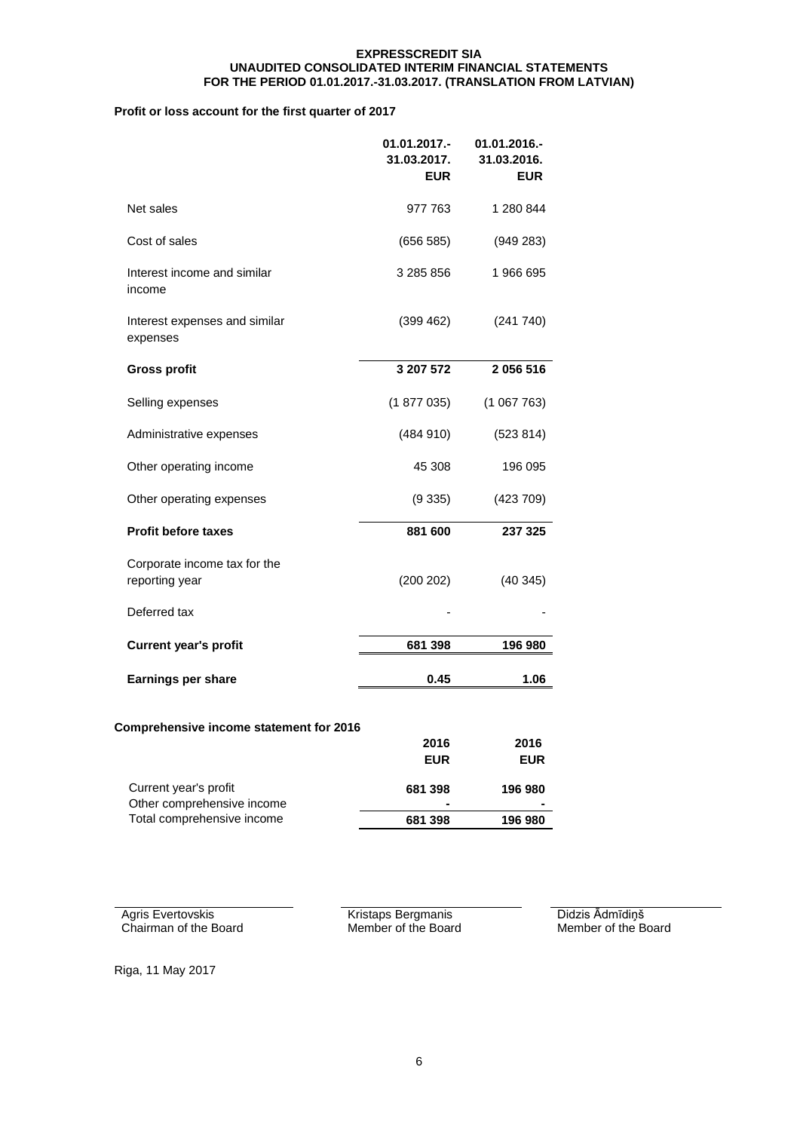## **Profit or loss account for the first quarter of 2017**

|                                                     | 01.01.2017.-<br>31.03.2017.<br><b>EUR</b> | 01.01.2016.-<br>31.03.2016.<br><b>EUR</b> |
|-----------------------------------------------------|-------------------------------------------|-------------------------------------------|
| Net sales                                           | 977 763                                   | 1 280 844                                 |
| Cost of sales                                       | (656 585)                                 | (949 283)                                 |
| Interest income and similar<br>income               | 3 285 856                                 | 1966695                                   |
| Interest expenses and similar<br>expenses           | (399 462)                                 | (241740)                                  |
| Gross profit                                        | 3 207 572                                 | 2056516                                   |
| Selling expenses                                    | (1877035)                                 | (1067763)                                 |
| Administrative expenses                             | (484910)                                  | (523 814)                                 |
| Other operating income                              | 45 308                                    | 196 095                                   |
| Other operating expenses                            | (9335)                                    | (423709)                                  |
| Profit before taxes                                 | 881 600                                   | 237 325                                   |
| Corporate income tax for the<br>reporting year      | (200 202)                                 | (40345)                                   |
| Deferred tax                                        |                                           |                                           |
| <b>Current year's profit</b>                        | 681 398                                   | 196 980                                   |
| Earnings per share                                  | 0.45                                      | 1.06                                      |
| Comprehensive income statement for 2016             |                                           |                                           |
|                                                     | 2016                                      | 2016                                      |
|                                                     | <b>EUR</b>                                | <b>EUR</b>                                |
| Current year's profit<br>Other comprehensive income | 681 398                                   | 196 980                                   |
| Total comprehensive income                          | 681 398                                   | 196 980                                   |

Agris Evertovskis Chairman of the Board Kristaps Bergmanis Member of the Board Didzis Ādmīdiņš Member of the Board

Riga, 11 May 2017